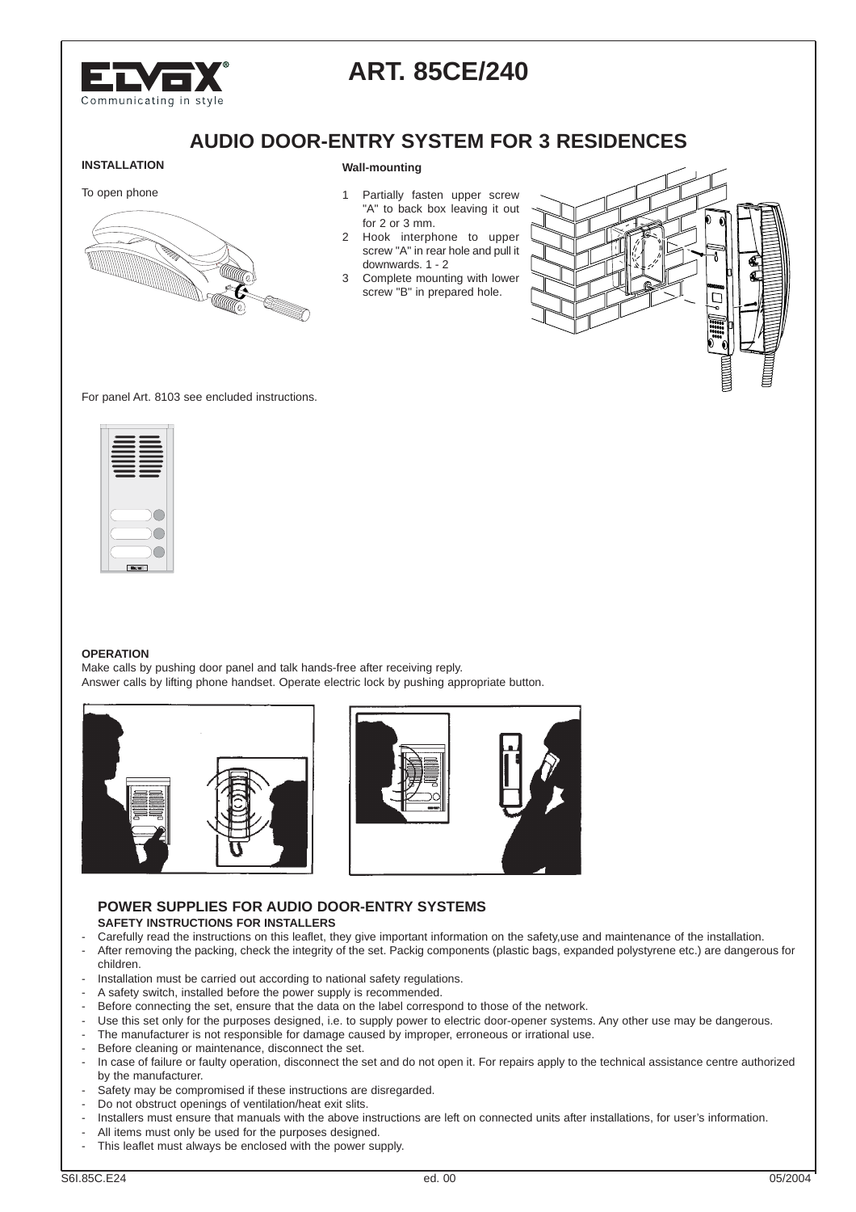

# **ART. 85CE/240**

## **AUDIO DOOR-ENTRY SYSTEM FOR 3 RESIDENCES**

# **INSTALLATION**

#### **Wall-mounting**

#### To open phone



1 Partially fasten upper screw "A" to back box leaving it out for 2 or 3 mm.

- 2 Hook interphone to upper screw "A" in rear hole and pull it downwards. 1 - 2
- 3 Complete mounting with lower screw "B" in prepared hole.



For panel Art. 8103 see encluded instructions.

#### **OPERATION**

Make calls by pushing door panel and talk hands-free after receiving reply. Answer calls by lifting phone handset. Operate electric lock by pushing appropriate button.





#### **POWER SUPPLIES FOR AUDIO DOOR-ENTRY SYSTEMS SAFETY INSTRUCTIONS FOR INSTALLERS**

- Carefully read the instructions on this leaflet, they give important information on the safety,use and maintenance of the installation.
- After removing the packing, check the integrity of the set. Packig components (plastic bags, expanded polystyrene etc.) are dangerous for children.
- Installation must be carried out according to national safety regulations.
- A safety switch, installed before the power supply is recommended.
- Before connecting the set, ensure that the data on the label correspond to those of the network.
- Use this set only for the purposes designed, i.e. to supply power to electric door-opener systems. Any other use may be dangerous.
- The manufacturer is not responsible for damage caused by improper, erroneous or irrational use.
- Before cleaning or maintenance, disconnect the set.
- In case of failure or faulty operation, disconnect the set and do not open it. For repairs apply to the technical assistance centre authorized by the manufacturer.
- Safety may be compromised if these instructions are disregarded.
- Do not obstruct openings of ventilation/heat exit slits.
- Installers must ensure that manuals with the above instructions are left on connected units after installations, for user's information.
- All items must only be used for the purposes designed.
- This leaflet must always be enclosed with the power supply.